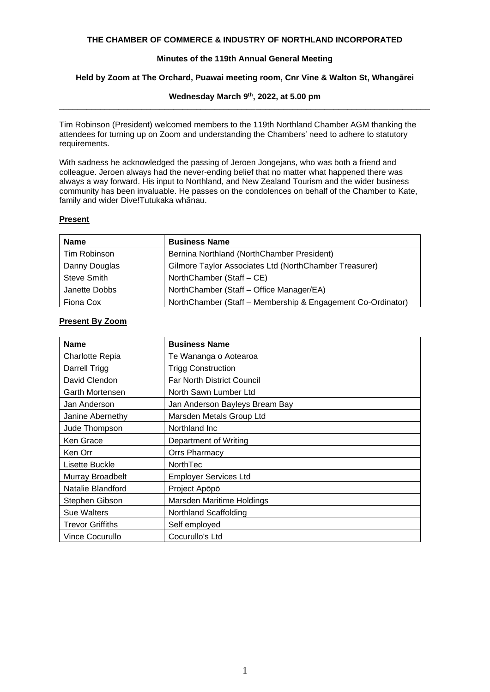### **THE CHAMBER OF COMMERCE & INDUSTRY OF NORTHLAND INCORPORATED**

# **Minutes of the 119th Annual General Meeting**

# **Held by Zoom at The Orchard, Puawai meeting room, Cnr Vine & Walton St, Whangārei**

## **Wednesday March 9 th, 2022, at 5.00 pm** \_\_\_\_\_\_\_\_\_\_\_\_\_\_\_\_\_\_\_\_\_\_\_\_\_\_\_\_\_\_\_\_\_\_\_\_\_\_\_\_\_\_\_\_\_\_\_\_\_\_\_\_\_\_\_\_\_\_\_\_\_\_\_\_\_\_\_\_\_\_\_\_\_\_\_\_\_\_\_\_\_

Tim Robinson (President) welcomed members to the 119th Northland Chamber AGM thanking the attendees for turning up on Zoom and understanding the Chambers' need to adhere to statutory requirements.

With sadness he acknowledged the passing of Jeroen Jongejans, who was both a friend and colleague. Jeroen always had the never-ending belief that no matter what happened there was always a way forward. His input to Northland, and New Zealand Tourism and the wider business community has been invaluable. He passes on the condolences on behalf of the Chamber to Kate, family and wider Dive!Tutukaka whānau.

## **Present**

| <b>Name</b>        | <b>Business Name</b>                                        |  |
|--------------------|-------------------------------------------------------------|--|
| Tim Robinson       | Bernina Northland (NorthChamber President)                  |  |
| Danny Douglas      | Gilmore Taylor Associates Ltd (NorthChamber Treasurer)      |  |
| <b>Steve Smith</b> | NorthChamber (Staff – CE)                                   |  |
| Janette Dobbs      | NorthChamber (Staff – Office Manager/EA)                    |  |
| Fiona Cox          | NorthChamber (Staff - Membership & Engagement Co-Ordinator) |  |

| <b>Name</b>        | <b>Business Name</b>              |
|--------------------|-----------------------------------|
| Charlotte Repia    | Te Wananga o Aotearoa             |
| Darrell Trigg      | <b>Trigg Construction</b>         |
| David Clendon      | <b>Far North District Council</b> |
| Garth Mortensen    | North Sawn Lumber Ltd             |
| Jan Anderson       | Jan Anderson Bayleys Bream Bay    |
| Janine Abernethy   | Marsden Metals Group Ltd          |
| Jude Thompson      | Northland Inc.                    |
| Ken Grace          | Department of Writing             |
| Ken Orr            | Orrs Pharmacy                     |
| Lisette Buckle     | NorthTec                          |
| Murray Broadbelt   | <b>Employer Services Ltd</b>      |
| Natalie Blandford  | Project Apōpō                     |
| Stephen Gibson     | Marsden Maritime Holdings         |
| <b>Sue Walters</b> | Northland Scaffolding             |
| Trevor Griffiths   | Self employed                     |
| Vince Cocurullo    | Cocurullo's Ltd                   |

# **Present By Zoom**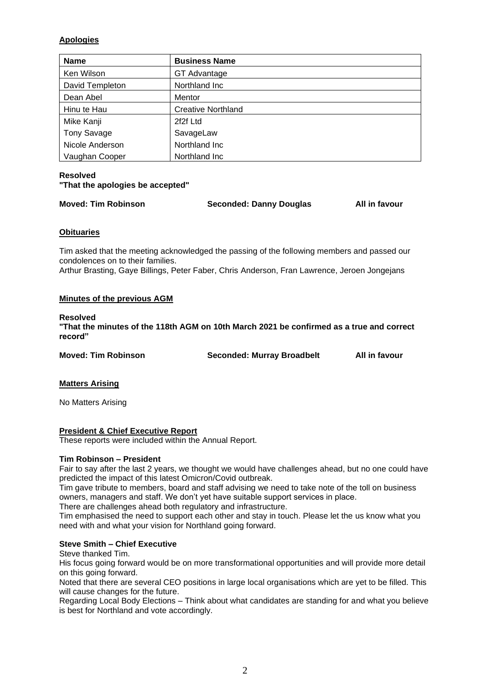# **Apologies**

| <b>Name</b>     | <b>Business Name</b>      |
|-----------------|---------------------------|
| Ken Wilson      | GT Advantage              |
| David Templeton | Northland Inc             |
| Dean Abel       | Mentor                    |
| Hinu te Hau     | <b>Creative Northland</b> |
| Mike Kanji      | 2f2f Ltd                  |
| Tony Savage     | SavageLaw                 |
| Nicole Anderson | Northland Inc             |
| Vaughan Cooper  | Northland Inc.            |

# **Resolved "That the apologies be accepted"**

**Moved: Tim Robinson Seconded: Danny Douglas All in favour**

# **Obituaries**

Tim asked that the meeting acknowledged the passing of the following members and passed our condolences on to their families.

Arthur Brasting, Gaye Billings, Peter Faber, Chris Anderson, Fran Lawrence, Jeroen Jongejans

# **Minutes of the previous AGM**

# **Resolved**

**"That the minutes of the 118th AGM on 10th March 2021 be confirmed as a true and correct record"**

**Moved: Tim Robinson Seconded: Murray Broadbelt All in favour**

# **Matters Arising**

No Matters Arising

**President & Chief Executive Report**

These reports were included within the Annual Report.

# **Tim Robinson – President**

Fair to say after the last 2 years, we thought we would have challenges ahead, but no one could have predicted the impact of this latest Omicron/Covid outbreak.

Tim gave tribute to members, board and staff advising we need to take note of the toll on business owners, managers and staff. We don't yet have suitable support services in place.

There are challenges ahead both regulatory and infrastructure.

Tim emphasised the need to support each other and stay in touch. Please let the us know what you need with and what your vision for Northland going forward.

# **Steve Smith – Chief Executive**

Steve thanked Tim.

His focus going forward would be on more transformational opportunities and will provide more detail on this going forward.

Noted that there are several CEO positions in large local organisations which are yet to be filled. This will cause changes for the future.

Regarding Local Body Elections – Think about what candidates are standing for and what you believe is best for Northland and vote accordingly.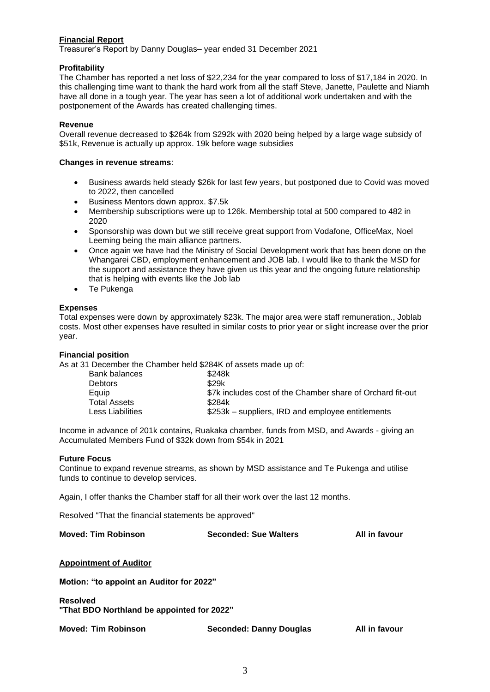# **Financial Report**

Treasurer's Report by Danny Douglas– year ended 31 December 2021

## **Profitability**

The Chamber has reported a net loss of \$22,234 for the year compared to loss of \$17,184 in 2020. In this challenging time want to thank the hard work from all the staff Steve, Janette, Paulette and Niamh have all done in a tough year. The year has seen a lot of additional work undertaken and with the postponement of the Awards has created challenging times.

## **Revenue**

Overall revenue decreased to \$264k from \$292k with 2020 being helped by a large wage subsidy of \$51k, Revenue is actually up approx. 19k before wage subsidies

### **Changes in revenue streams**:

- Business awards held steady \$26k for last few years, but postponed due to Covid was moved to 2022, then cancelled
- Business Mentors down approx. \$7.5k
- Membership subscriptions were up to 126k. Membership total at 500 compared to 482 in 2020
- Sponsorship was down but we still receive great support from Vodafone, OfficeMax, Noel Leeming being the main alliance partners.
- Once again we have had the Ministry of Social Development work that has been done on the Whangarei CBD, employment enhancement and JOB lab. I would like to thank the MSD for the support and assistance they have given us this year and the ongoing future relationship that is helping with events like the Job lab
- Te Pukenga

## **Expenses**

Total expenses were down by approximately \$23k. The major area were staff remuneration., Joblab costs. Most other expenses have resulted in similar costs to prior year or slight increase over the prior year.

### **Financial position**

As at 31 December the Chamber held \$284K of assets made up of:

| \$248k                                                     |
|------------------------------------------------------------|
| \$29k                                                      |
| \$7k includes cost of the Chamber share of Orchard fit-out |
| \$284k                                                     |
| \$253k – suppliers, IRD and employee entitlements          |
|                                                            |

Income in advance of 201k contains, Ruakaka chamber, funds from MSD, and Awards - giving an Accumulated Members Fund of \$32k down from \$54k in 2021

### **Future Focus**

Continue to expand revenue streams, as shown by MSD assistance and Te Pukenga and utilise funds to continue to develop services.

Again, I offer thanks the Chamber staff for all their work over the last 12 months.

Resolved "That the financial statements be approved"

**Moved: Tim Robinson Seconded: Sue Walters All in favour**

### **Appointment of Auditor**

**Motion: "to appoint an Auditor for 2022"**

**Resolved "That BDO Northland be appointed for 2022"**

**Moved: Tim Robinson Seconded: Danny Douglas All in favour**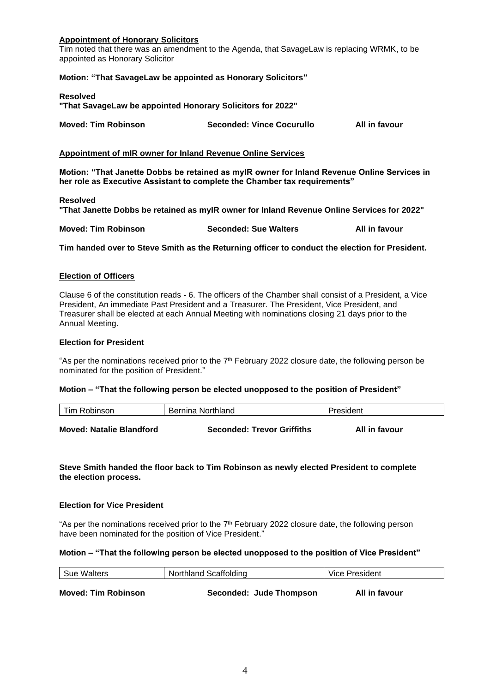## **Appointment of Honorary Solicitors**

Tim noted that there was an amendment to the Agenda, that SavageLaw is replacing WRMK, to be appointed as Honorary Solicitor

### **Motion: "That SavageLaw be appointed as Honorary Solicitors"**

#### **Resolved**

**"That SavageLaw be appointed Honorary Solicitors for 2022"**

| <b>Moved: Tim Robinson</b> | <b>Seconded: Vince Cocurullo</b> | All in favour |
|----------------------------|----------------------------------|---------------|
|                            |                                  |               |

#### **Appointment of mIR owner for Inland Revenue Online Services**

**Motion: "That Janette Dobbs be retained as myIR owner for Inland Revenue Online Services in her role as Executive Assistant to complete the Chamber tax requirements"**

#### **Resolved**

**"That Janette Dobbs be retained as myIR owner for Inland Revenue Online Services for 2022"**

**Moved: Tim Robinson Seconded: Sue Walters All in favour**

**Tim handed over to Steve Smith as the Returning officer to conduct the election for President.**

### **Election of Officers**

Clause 6 of the constitution reads - 6. The officers of the Chamber shall consist of a President, a Vice President, An immediate Past President and a Treasurer. The President, Vice President, and Treasurer shall be elected at each Annual Meeting with nominations closing 21 days prior to the Annual Meeting.

#### **Election for President**

"As per the nominations received prior to the  $7<sup>th</sup>$  February 2022 closure date, the following person be nominated for the position of President."

### **Motion – "That the following person be elected unopposed to the position of President"**

| Tim Robinson                    | Bernina Northland                 | President     |
|---------------------------------|-----------------------------------|---------------|
| <b>Moved: Natalie Blandford</b> | <b>Seconded: Trevor Griffiths</b> | All in favour |

## **Steve Smith handed the floor back to Tim Robinson as newly elected President to complete the election process.**

### **Election for Vice President**

"As per the nominations received prior to the  $7<sup>th</sup>$  February 2022 closure date, the following person have been nominated for the position of Vice President."

#### **Motion – "That the following person be elected unopposed to the position of Vice President"**

| Sue Walters                | Northland Scaffolding   | Vice President |  |
|----------------------------|-------------------------|----------------|--|
|                            |                         |                |  |
| <b>Moved: Tim Robinson</b> | Seconded: Jude Thompson | All in favour  |  |